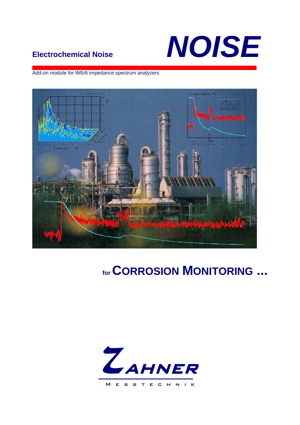# NOISE

### **Electrochemical Noise**

Add-on module for IM5/6 impedance spectrum analyzers



## for CORROSION MONITORING ...

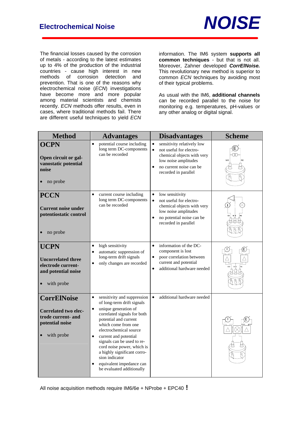

The financial losses caused by the corrosion of metals - according to the latest estimates up to 4% of the production of the industrial countries - cause high interest in new methods of corrosion detection and prevention. That is one of the reasons why electrochemical noise (*ECN*) investigations have become more and more popular among material scientists and chemists recently. *ECN* methods offer results, even in cases, where traditional methods fail. There are different useful techniques to yield *ECN* information. The IM6 system **supports all common techniques** - but that is not all. Moreover, Zahner developed *CorrElNoise.* This revolutionary new method is superior to common *ECN* techniques by avoiding most of their typical problems.

As usual with the IM6, **additional channels** can be recorded parallel to the noise for monitoring e.g. temperatures, pH-values or any other analog or digital signal.

| <b>Method</b>                                                                                            | <b>Advantages</b>                                                                                                                                                                                                                                                                                                                                                                                                                             | <b>Disadvantages</b>                                                                                                                                                                                  | <b>Scheme</b> |
|----------------------------------------------------------------------------------------------------------|-----------------------------------------------------------------------------------------------------------------------------------------------------------------------------------------------------------------------------------------------------------------------------------------------------------------------------------------------------------------------------------------------------------------------------------------------|-------------------------------------------------------------------------------------------------------------------------------------------------------------------------------------------------------|---------------|
| <b>OCPN</b><br>Open circuit or gal-<br>vanostatic potential<br>noise<br>no probe                         | potential course including<br>$\bullet$<br>long term DC-components<br>can be recorded                                                                                                                                                                                                                                                                                                                                                         | sensitivity relatively low<br>$\bullet$<br>not useful for electro-<br>$\bullet$<br>chemical objects with very<br>low noise amplitudes<br>no current noise can be<br>$\bullet$<br>recorded in parallel | WF            |
| <b>PCCN</b><br><b>Current noise under</b><br>potentiostatic control<br>no probe                          | $\bullet$<br>current course including<br>long term DC-components<br>can be recorded                                                                                                                                                                                                                                                                                                                                                           | $\bullet$<br>low sensitivity<br>not useful for electro-<br>$\bullet$<br>chemical objects with very<br>low noise amplitudes<br>no potential noise can be<br>$\bullet$<br>recorded in parallel          |               |
| <b>UCPN</b><br><b>Uncorrelated three</b><br>electrode current-<br>and potential noise<br>with probe      | high sensitivity<br>$\bullet$<br>automatic suppression of<br>٠<br>long-term drift signals<br>only changes are recorded<br>٠                                                                                                                                                                                                                                                                                                                   | information of the DC-<br>$\bullet$<br>component is lost<br>poor correlation between<br>$\bullet$<br>current and potential<br>additional hardware needed<br>$\bullet$                                 |               |
| <b>CorrElNoise</b><br><b>Correlated two elec-</b><br>trode current- and<br>potential noise<br>with probe | sensitivity and suppression<br>$\bullet$<br>of long-term drift signals<br>unique generation of<br>$\bullet$<br>correlated signals for both<br>potential and current<br>which come from one<br>electrochemical source<br>current and potential<br>$\bullet$<br>signals can be used to re-<br>cord noise power, which is<br>a highly significant corro-<br>sion indicator<br>equivalent impedance can<br>$\bullet$<br>be evaluated additionally | additional hardware needed<br>$\bullet$                                                                                                                                                               |               |

All noise acquisition methods require IM6/6e + NProbe + EPC40 **!**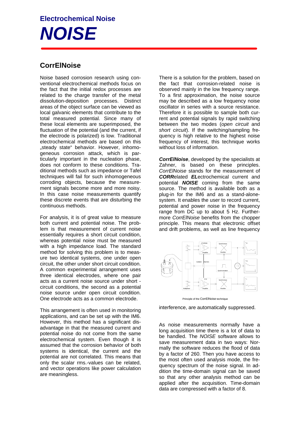## **Electrochemical Noise**  *NOISE*

#### **CorrElNoise**

Noise based corrosion research using conventional electrochemical methods focus on the fact that the initial redox processes are related to the charge transfer of the metal dissolution-deposition processes. Distinct areas of the object surface can be viewed as local galvanic elements that contribute to the total measured potential. Since many of these local elements are superimposed, the fluctuation of the potential (and the current, if the electrode is polarized) is low. Traditional electrochemical methods are based on this ..steady state" behavior. However, inhomogeneous corrosion attack, which is particularly important in the nucleation phase, does not conform to these conditions. Traditional methods such as impedance or Tafel techniques will fail for such inhomogeneous corroding objects, because the measurement signals become more and more noisy. In this case noise measurements quantify these discrete events that are disturbing the continuous methods.

For analysis, it is of great value to measure both current and potential noise. The problem is that measurement of current noise essentially requires a short circuit condition, whereas potential noise must be measured with a high impedance load. The standard method for solving this problem is to measure two identical systems, one under open circuit, the other under short circuit condition. A common experimental arrangement uses three identical electrodes, where one pair acts as a current noise source under short circuit conditions, the second as a potential noise source under open circuit condition. One electrode acts as a common electrode.

This arrangement is often used in monitoring applications, and can be set up with the IM6. However, this method has a significant disadvantage in that the measured current and potential noise do not come from the same electrochemical system. Even though it is assumed that the corrosion behavior of both systems is identical, the current and the potential are not correlated. This means that only the scalar rms.-values can be related, and vector operations like power calculation are meaningless.

There is a solution for the problem, based on the fact that corrosion-related noise is observed mainly in the low frequency range. To a first approximation, the noise source may be described as a low frequency noise oscillator in series with a source resistance. Therefore it is possible to sample both current and potential signals by rapid switching between the two modes (*open circuit* and *short circuit*). If the switching/sampling frequency is high relative to the highest noise frequency of interest, this technique works without loss of information.

*CorrElNoise*, developed by the specialists at Zahner, is based on these principles. *CorrElNoise* stands for the measurement of *CORR*elated *EL*ectrochemical current and potential *NOISE* coming from the same source. The method is available both as a plug-in for the IM6 and as a stand-alonesystem. It enables the user to record current, potential and power noise in the frequency range from DC up to about 5 Hz. Furthermore *CorrElNoise* benefits from the chopper principle. This means that electronic offset and drift problems, as well as line frequency



Principle of the CorrElNoise technique

interference, are automatically suppressed.

As noise measurements normally have a long acquisition time there is a lot of data to be handled. The *NOISE* software allows to save measurement data in two ways: Normally the software reduces the flood of data by a factor of 260. Then you have access to the most often used analysis mode, the frequency spectrum of the noise signal. In addition the time-domain signal can be saved so that any other analysis method can be applied after the acquisition. Time-domain data are compressed with a factor of 8.